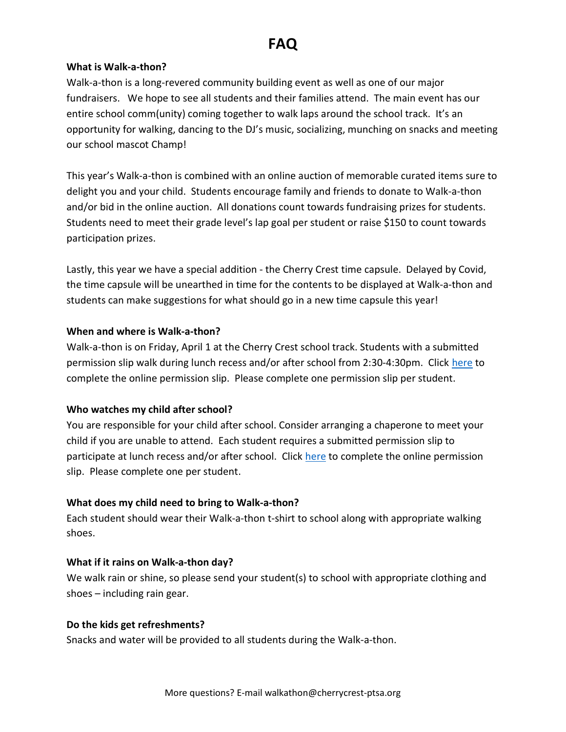# FAQ

#### What is Walk-a-thon?

Walk-a-thon is a long-revered community building event as well as one of our major fundraisers. We hope to see all students and their families attend. The main event has our entire school comm(unity) coming together to walk laps around the school track. It's an opportunity for walking, dancing to the DJ's music, socializing, munching on snacks and meeting our school mascot Champ!

This year's Walk-a-thon is combined with an online auction of memorable curated items sure to delight you and your child. Students encourage family and friends to donate to Walk-a-thon and/or bid in the online auction. All donations count towards fundraising prizes for students. Students need to meet their grade level's lap goal per student or raise \$150 to count towards participation prizes.

Lastly, this year we have a special addition - the Cherry Crest time capsule. Delayed by Covid, the time capsule will be unearthed in time for the contents to be displayed at Walk-a-thon and students can make suggestions for what should go in a new time capsule this year!

### When and where is Walk-a-thon?

Walk-a-thon is on Friday, April 1 at the Cherry Crest school track. Students with a submitted permission slip walk during lunch recess and/or after school from 2:30-4:30pm. Click here to complete the online permission slip. Please complete one permission slip per student.

# Who watches my child after school?

You are responsible for your child after school. Consider arranging a chaperone to meet your child if you are unable to attend. Each student requires a submitted permission slip to participate at lunch recess and/or after school. Click here to complete the online permission slip. Please complete one per student.

# What does my child need to bring to Walk-a-thon?

Each student should wear their Walk-a-thon t-shirt to school along with appropriate walking shoes.

#### What if it rains on Walk-a-thon day?

We walk rain or shine, so please send your student(s) to school with appropriate clothing and shoes – including rain gear.

#### Do the kids get refreshments?

Snacks and water will be provided to all students during the Walk-a-thon.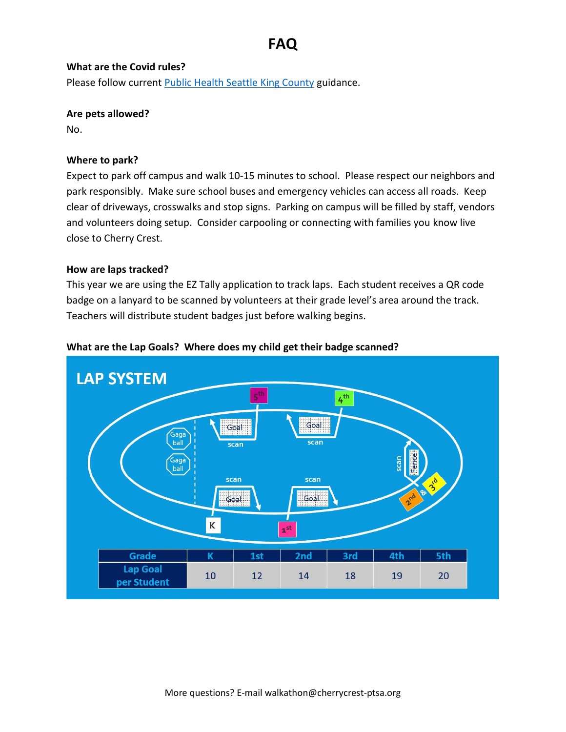# FAQ

### What are the Covid rules?

Please follow current Public Health Seattle King County guidance.

#### Are pets allowed?

No.

### Where to park?

Expect to park off campus and walk 10-15 minutes to school. Please respect our neighbors and park responsibly. Make sure school buses and emergency vehicles can access all roads. Keep clear of driveways, crosswalks and stop signs. Parking on campus will be filled by staff, vendors and volunteers doing setup. Consider carpooling or connecting with families you know live close to Cherry Crest.

#### How are laps tracked?

This year we are using the EZ Tally application to track laps. Each student receives a QR code badge on a lanyard to be scanned by volunteers at their grade level's area around the track. Teachers will distribute student badges just before walking begins.



#### What are the Lap Goals? Where does my child get their badge scanned?